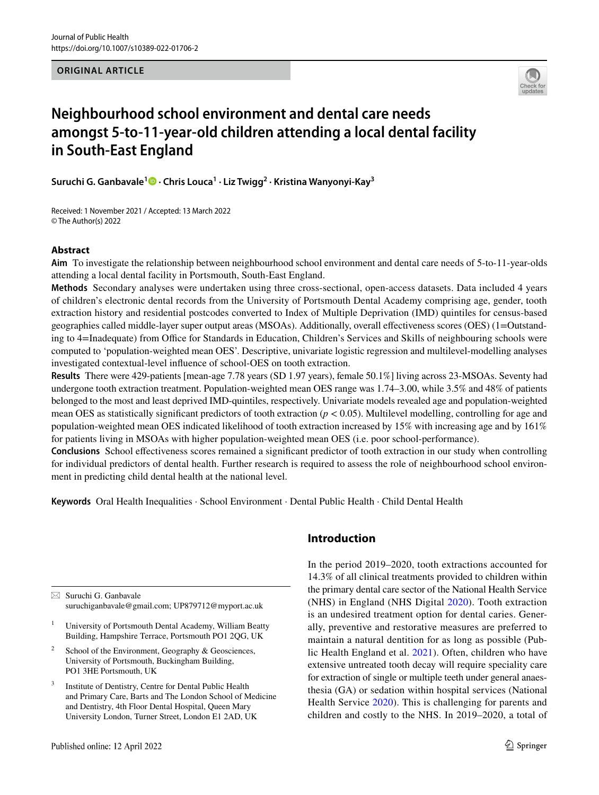**ORIGINAL ARTICLE**



# **Neighbourhood school environment and dental care needs amongst 5‑to‑11‑year‑old children attending a local dental facility in South‑East England**

**Suruchi G. Ganbavale<sup>1</sup>  [·](http://orcid.org/0000-0003-1580-5795) Chris Louca1 · Liz Twigg<sup>2</sup> · Kristina Wanyonyi‑Kay<sup>3</sup>**

Received: 1 November 2021 / Accepted: 13 March 2022 © The Author(s) 2022

## **Abstract**

**Aim** To investigate the relationship between neighbourhood school environment and dental care needs of 5-to-11-year-olds attending a local dental facility in Portsmouth, South-East England.

**Methods** Secondary analyses were undertaken using three cross-sectional, open-access datasets. Data included 4 years of children's electronic dental records from the University of Portsmouth Dental Academy comprising age, gender, tooth extraction history and residential postcodes converted to Index of Multiple Deprivation (IMD) quintiles for census-based geographies called middle-layer super output areas (MSOAs). Additionally, overall efectiveness scores (OES) (1=Outstanding to 4=Inadequate) from Office for Standards in Education, Children's Services and Skills of neighbouring schools were computed to 'population-weighted mean OES'. Descriptive, univariate logistic regression and multilevel-modelling analyses investigated contextual-level infuence of school-OES on tooth extraction.

**Results** There were 429-patients [mean-age 7.78 years (SD 1.97 years), female 50.1%] living across 23-MSOAs. Seventy had undergone tooth extraction treatment. Population-weighted mean OES range was 1.74–3.00, while 3.5% and 48% of patients belonged to the most and least deprived IMD-quintiles, respectively. Univariate models revealed age and population-weighted mean OES as statistically signifcant predictors of tooth extraction (*p* < 0.05). Multilevel modelling, controlling for age and population-weighted mean OES indicated likelihood of tooth extraction increased by 15% with increasing age and by 161% for patients living in MSOAs with higher population-weighted mean OES (i.e. poor school-performance).

**Conclusions** School efectiveness scores remained a signifcant predictor of tooth extraction in our study when controlling for individual predictors of dental health. Further research is required to assess the role of neighbourhood school environment in predicting child dental health at the national level.

**Keywords** Oral Health Inequalities · School Environment · Dental Public Health · Child Dental Health

 $\boxtimes$  Suruchi G. Ganbavale suruchiganbavale@gmail.com; UP879712@myport.ac.uk

- <sup>1</sup> University of Portsmouth Dental Academy, William Beatty Building, Hampshire Terrace, Portsmouth PO1 2QG, UK
- <sup>2</sup> School of the Environment, Geography  $\&$  Geosciences, University of Portsmouth, Buckingham Building, PO1 3HE Portsmouth, UK
- <sup>3</sup> Institute of Dentistry, Centre for Dental Public Health and Primary Care, Barts and The London School of Medicine and Dentistry, 4th Floor Dental Hospital, Queen Mary University London, Turner Street, London E1 2AD, UK

# **Introduction**

In the period 2019–2020, tooth extractions accounted for 14.3% of all clinical treatments provided to children within the primary dental care sector of the National Health Service (NHS) in England (NHS Digital [2020\)](#page-8-0). Tooth extraction is an undesired treatment option for dental caries. Generally, preventive and restorative measures are preferred to maintain a natural dentition for as long as possible (Public Health England et al. [2021\)](#page-8-1). Often, children who have extensive untreated tooth decay will require speciality care for extraction of single or multiple teeth under general anaesthesia (GA) or sedation within hospital services (National Health Service [2020](#page-8-2)). This is challenging for parents and children and costly to the NHS. In 2019–2020, a total of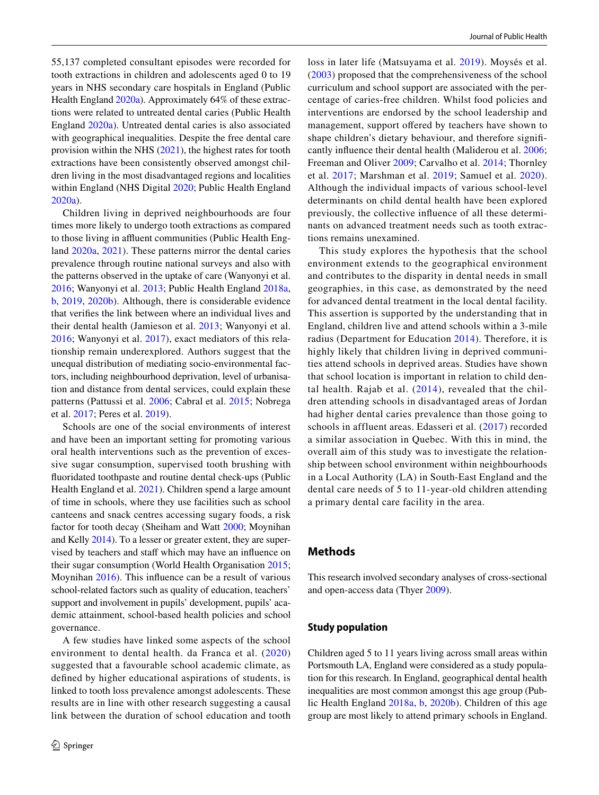55,137 completed consultant episodes were recorded for tooth extractions in children and adolescents aged 0 to 19 years in NHS secondary care hospitals in England (Public Health England [2020a](#page-8-3)). Approximately 64% of these extractions were related to untreated dental caries (Public Health England [2020a](#page-8-3)). Untreated dental caries is also associated with geographical inequalities. Despite the free dental care provision within the NHS [\(2021\)](#page-8-4), the highest rates for tooth extractions have been consistently observed amongst children living in the most disadvantaged regions and localities within England (NHS Digital [2020](#page-8-0); Public Health England [2020a\)](#page-8-3).

Children living in deprived neighbourhoods are four times more likely to undergo tooth extractions as compared to those living in affluent communities (Public Health England [2020a](#page-8-3), [2021\)](#page-8-5). These patterns mirror the dental caries prevalence through routine national surveys and also with the patterns observed in the uptake of care (Wanyonyi et al. [2016](#page-8-6); Wanyonyi et al. [2013](#page-8-7); Public Health England [2018a,](#page-8-8) [b](#page-8-9), [2019,](#page-8-10) [2020b\)](#page-8-11). Although, there is considerable evidence that verifes the link between where an individual lives and their dental health (Jamieson et al. [2013](#page-7-0); Wanyonyi et al. [2016](#page-8-6); Wanyonyi et al. [2017\)](#page-8-12), exact mediators of this relationship remain underexplored. Authors suggest that the unequal distribution of mediating socio-environmental factors, including neighbourhood deprivation, level of urbanisation and distance from dental services, could explain these patterns (Pattussi et al. [2006;](#page-8-13) Cabral et al. [2015](#page-7-1); Nobrega et al. [2017](#page-8-14); Peres et al. [2019\)](#page-8-15).

Schools are one of the social environments of interest and have been an important setting for promoting various oral health interventions such as the prevention of excessive sugar consumption, supervised tooth brushing with fuoridated toothpaste and routine dental check-ups (Public Health England et al. [2021](#page-8-1)). Children spend a large amount of time in schools, where they use facilities such as school canteens and snack centres accessing sugary foods, a risk factor for tooth decay (Sheiham and Watt [2000](#page-8-16); Moynihan and Kelly [2014\)](#page-7-2). To a lesser or greater extent, they are supervised by teachers and staff which may have an influence on their sugar consumption (World Health Organisation [2015](#page-8-17); Moynihan [2016\)](#page-7-3). This infuence can be a result of various school-related factors such as quality of education, teachers' support and involvement in pupils' development, pupils' academic attainment, school-based health policies and school governance.

A few studies have linked some aspects of the school environment to dental health. da Franca et al. ([2020\)](#page-7-4) suggested that a favourable school academic climate, as defned by higher educational aspirations of students, is linked to tooth loss prevalence amongst adolescents. These results are in line with other research suggesting a causal link between the duration of school education and tooth loss in later life (Matsuyama et al. [2019](#page-7-5)). Moysés et al. ([2003](#page-8-18)) proposed that the comprehensiveness of the school curriculum and school support are associated with the percentage of caries-free children. Whilst food policies and interventions are endorsed by the school leadership and management, support offered by teachers have shown to shape children's dietary behaviour, and therefore signifcantly infuence their dental health (Maliderou et al. [2006](#page-7-6); Freeman and Oliver [2009;](#page-7-7) Carvalho et al. [2014;](#page-7-8) Thornley et al. [2017;](#page-8-19) Marshman et al. [2019;](#page-7-9) Samuel et al. [2020](#page-8-20)). Although the individual impacts of various school-level determinants on child dental health have been explored previously, the collective infuence of all these determinants on advanced treatment needs such as tooth extractions remains unexamined.

This study explores the hypothesis that the school environment extends to the geographical environment and contributes to the disparity in dental needs in small geographies, in this case, as demonstrated by the need for advanced dental treatment in the local dental facility. This assertion is supported by the understanding that in England, children live and attend schools within a 3-mile radius (Department for Education [2014\)](#page-7-10). Therefore, it is highly likely that children living in deprived communities attend schools in deprived areas. Studies have shown that school location is important in relation to child dental health. Rajab et al.  $(2014)$  $(2014)$ , revealed that the children attending schools in disadvantaged areas of Jordan had higher dental caries prevalence than those going to schools in affluent areas. Edasseri et al. ([2017](#page-7-11)) recorded a similar association in Quebec. With this in mind, the overall aim of this study was to investigate the relationship between school environment within neighbourhoods in a Local Authority (LA) in South-East England and the dental care needs of 5 to 11-year-old children attending a primary dental care facility in the area.

## **Methods**

This research involved secondary analyses of cross-sectional and open-access data (Thyer [2009\)](#page-8-22).

#### **Study population**

Children aged 5 to 11 years living across small areas within Portsmouth LA, England were considered as a study population for this research. In England, geographical dental health inequalities are most common amongst this age group (Public Health England [2018a,](#page-8-8) [b](#page-8-9), [2020b](#page-8-11)). Children of this age group are most likely to attend primary schools in England.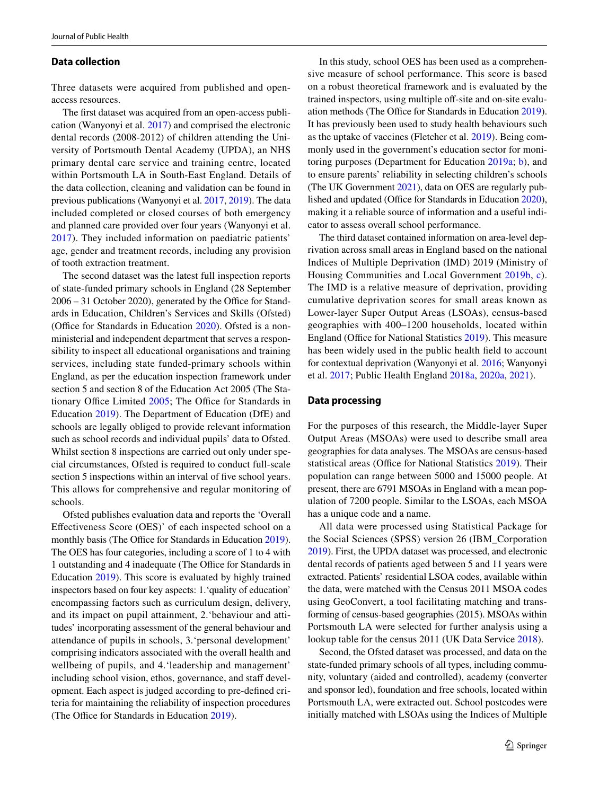#### **Data collection**

Three datasets were acquired from published and openaccess resources.

The frst dataset was acquired from an open-access publication (Wanyonyi et al. [2017\)](#page-8-12) and comprised the electronic dental records (2008-2012) of children attending the University of Portsmouth Dental Academy (UPDA), an NHS primary dental care service and training centre, located within Portsmouth LA in South-East England. Details of the data collection, cleaning and validation can be found in previous publications (Wanyonyi et al. [2017,](#page-8-12) [2019](#page-8-23)). The data included completed or closed courses of both emergency and planned care provided over four years (Wanyonyi et al. [2017\)](#page-8-12). They included information on paediatric patients' age, gender and treatment records, including any provision of tooth extraction treatment.

The second dataset was the latest full inspection reports of state-funded primary schools in England (28 September  $2006 - 31$  October 2020), generated by the Office for Standards in Education, Children's Services and Skills (Ofsted) (Office for Standards in Education  $2020$ ). Ofsted is a nonministerial and independent department that serves a responsibility to inspect all educational organisations and training services, including state funded-primary schools within England, as per the education inspection framework under section 5 and section 8 of the Education Act 2005 (The Sta-tionary Office Limited [2005;](#page-8-25) The Office for Standards in Education [2019](#page-8-26)). The Department of Education (DfE) and schools are legally obliged to provide relevant information such as school records and individual pupils' data to Ofsted. Whilst section 8 inspections are carried out only under special circumstances, Ofsted is required to conduct full-scale section 5 inspections within an interval of five school years. This allows for comprehensive and regular monitoring of schools.

Ofsted publishes evaluation data and reports the 'Overall Efectiveness Score (OES)' of each inspected school on a monthly basis (The Office for Standards in Education [2019](#page-8-26)). The OES has four categories, including a score of 1 to 4 with 1 outstanding and 4 inadequate (The Office for Standards in Education [2019](#page-8-26)). This score is evaluated by highly trained inspectors based on four key aspects: 1.'quality of education' encompassing factors such as curriculum design, delivery, and its impact on pupil attainment, 2.'behaviour and attitudes' incorporating assessment of the general behaviour and attendance of pupils in schools, 3.'personal development' comprising indicators associated with the overall health and wellbeing of pupils, and 4.'leadership and management' including school vision, ethos, governance, and staff development. Each aspect is judged according to pre-defned criteria for maintaining the reliability of inspection procedures (The Office for Standards in Education [2019\)](#page-8-26).

In this study, school OES has been used as a comprehensive measure of school performance. This score is based on a robust theoretical framework and is evaluated by the trained inspectors, using multiple off-site and on-site evalu-ation methods (The Office for Standards in Education [2019](#page-8-26)). It has previously been used to study health behaviours such as the uptake of vaccines (Fletcher et al. [2019\)](#page-7-12). Being commonly used in the government's education sector for monitoring purposes (Department for Education [2019a](#page-7-13); [b\)](#page-7-14), and to ensure parents' reliability in selecting children's schools (The UK Government [2021\)](#page-8-27), data on OES are regularly pub-lished and updated (Office for Standards in Education [2020](#page-8-24)), making it a reliable source of information and a useful indicator to assess overall school performance.

The third dataset contained information on area-level deprivation across small areas in England based on the national Indices of Multiple Deprivation (IMD) 2019 (Ministry of Housing Communities and Local Government [2019b,](#page-7-15) [c](#page-7-16)). The IMD is a relative measure of deprivation, providing cumulative deprivation scores for small areas known as Lower-layer Super Output Areas (LSOAs), census-based geographies with 400–1200 households, located within England (Office for National Statistics [2019](#page-8-28)). This measure has been widely used in the public health feld to account for contextual deprivation (Wanyonyi et al. [2016;](#page-8-6) Wanyonyi et al. [2017](#page-8-12); Public Health England [2018a](#page-8-8), [2020a,](#page-8-3) [2021\)](#page-8-1).

## **Data processing**

For the purposes of this research, the Middle-layer Super Output Areas (MSOAs) were used to describe small area geographies for data analyses. The MSOAs are census-based statistical areas (Office for National Statistics [2019\)](#page-8-28). Their population can range between 5000 and 15000 people. At present, there are 6791 MSOAs in England with a mean population of 7200 people. Similar to the LSOAs, each MSOA has a unique code and a name.

All data were processed using Statistical Package for the Social Sciences (SPSS) version 26 (IBM\_Corporation [2019\)](#page-7-17). First, the UPDA dataset was processed, and electronic dental records of patients aged between 5 and 11 years were extracted. Patients' residential LSOA codes, available within the data, were matched with the Census 2011 MSOA codes using GeoConvert, a tool facilitating matching and transforming of census-based geographies (2015). MSOAs within Portsmouth LA were selected for further analysis using a lookup table for the census 2011 (UK Data Service [2018\)](#page-8-29).

Second, the Ofsted dataset was processed, and data on the state-funded primary schools of all types, including community, voluntary (aided and controlled), academy (converter and sponsor led), foundation and free schools, located within Portsmouth LA, were extracted out. School postcodes were initially matched with LSOAs using the Indices of Multiple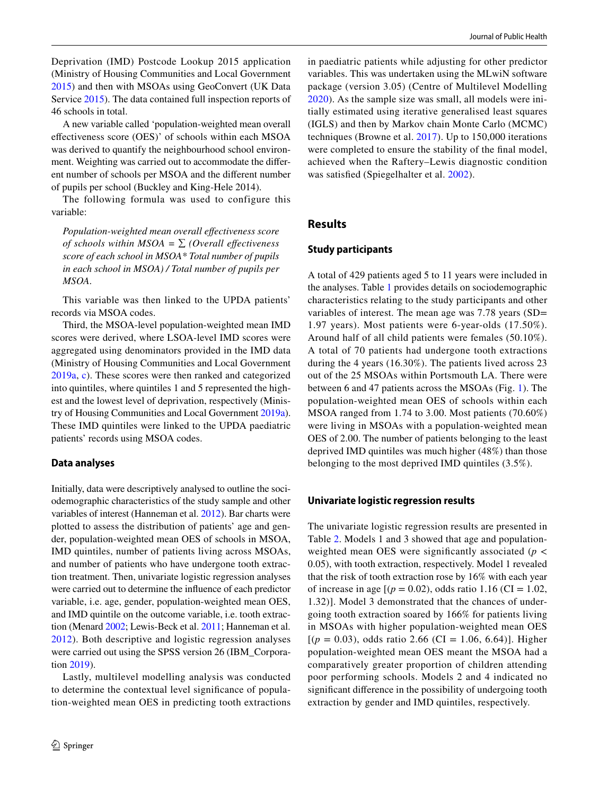Deprivation (IMD) Postcode Lookup 2015 application (Ministry of Housing Communities and Local Government [2015](#page-7-18)) and then with MSOAs using GeoConvert (UK Data Service [2015\)](#page-8-30). The data contained full inspection reports of 46 schools in total.

A new variable called 'population-weighted mean overall efectiveness score (OES)' of schools within each MSOA was derived to quantify the neighbourhood school environment. Weighting was carried out to accommodate the diferent number of schools per MSOA and the diferent number of pupils per school (Buckley and King-Hele 2014).

The following formula was used to configure this variable:

*Population-weighted mean overall efectiveness score of schools within MSOA =*  $\Sigma$  *(Overall effectiveness score of each school in MSOA\* Total number of pupils in each school in MSOA) / Total number of pupils per MSOA.*

This variable was then linked to the UPDA patients' records via MSOA codes.

Third, the MSOA-level population-weighted mean IMD scores were derived, where LSOA-level IMD scores were aggregated using denominators provided in the IMD data (Ministry of Housing Communities and Local Government [2019a,](#page-7-19) [c\)](#page-7-16). These scores were then ranked and categorized into quintiles, where quintiles 1 and 5 represented the highest and the lowest level of deprivation, respectively (Ministry of Housing Communities and Local Government [2019a](#page-7-19)). These IMD quintiles were linked to the UPDA paediatric patients' records using MSOA codes.

# **Data analyses**

Initially, data were descriptively analysed to outline the sociodemographic characteristics of the study sample and other variables of interest (Hanneman et al. [2012\)](#page-7-20). Bar charts were plotted to assess the distribution of patients' age and gender, population-weighted mean OES of schools in MSOA, IMD quintiles, number of patients living across MSOAs, and number of patients who have undergone tooth extraction treatment. Then, univariate logistic regression analyses were carried out to determine the infuence of each predictor variable, i.e. age, gender, population-weighted mean OES, and IMD quintile on the outcome variable, i.e. tooth extraction (Menard [2002;](#page-7-21) Lewis-Beck et al. [2011](#page-7-22); Hanneman et al. [2012\)](#page-7-20). Both descriptive and logistic regression analyses were carried out using the SPSS version 26 (IBM\_Corporation [2019](#page-7-17)).

Lastly, multilevel modelling analysis was conducted to determine the contextual level signifcance of population-weighted mean OES in predicting tooth extractions in paediatric patients while adjusting for other predictor variables. This was undertaken using the MLwiN software package (version 3.05) (Centre of Multilevel Modelling [2020\)](#page-7-23). As the sample size was small, all models were initially estimated using iterative generalised least squares (IGLS) and then by Markov chain Monte Carlo (MCMC) techniques (Browne et al. [2017\)](#page-7-24). Up to 150,000 iterations were completed to ensure the stability of the fnal model, achieved when the Raftery–Lewis diagnostic condition was satisfed (Spiegelhalter et al. [2002](#page-8-31)).

# **Results**

## **Study participants**

A total of 429 patients aged 5 to 11 years were included in the analyses. Table [1](#page-4-0) provides details on sociodemographic characteristics relating to the study participants and other variables of interest. The mean age was 7.78 years (SD= 1.97 years). Most patients were 6-year-olds (17.50%). Around half of all child patients were females (50.10%). A total of 70 patients had undergone tooth extractions during the 4 years (16.30%). The patients lived across 23 out of the 25 MSOAs within Portsmouth LA. There were between 6 and 47 patients across the MSOAs (Fig. [1](#page-4-1)). The population-weighted mean OES of schools within each MSOA ranged from 1.74 to 3.00. Most patients (70.60%) were living in MSOAs with a population-weighted mean OES of 2.00. The number of patients belonging to the least deprived IMD quintiles was much higher (48%) than those belonging to the most deprived IMD quintiles (3.5%).

#### **Univariate logistic regression results**

The univariate logistic regression results are presented in Table [2](#page-5-0). Models 1 and 3 showed that age and populationweighted mean OES were significantly associated ( $p <$ 0.05), with tooth extraction, respectively. Model 1 revealed that the risk of tooth extraction rose by 16% with each year of increase in age  $[(p = 0.02)]$ , odds ratio 1.16 (CI = 1.02, 1.32)]. Model 3 demonstrated that the chances of undergoing tooth extraction soared by 166% for patients living in MSOAs with higher population-weighted mean OES  $[(p = 0.03),$  odds ratio 2.66 (CI = 1.06, 6.64)]. Higher population-weighted mean OES meant the MSOA had a comparatively greater proportion of children attending poor performing schools. Models 2 and 4 indicated no signifcant diference in the possibility of undergoing tooth extraction by gender and IMD quintiles, respectively.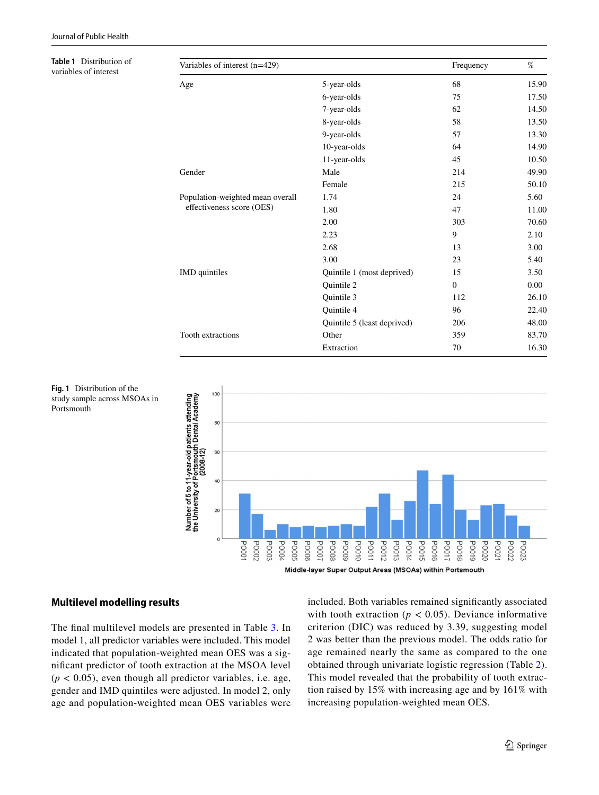**Table 1** Distribution of variables of interest

<span id="page-4-0"></span>

| Table 1 Distribution of<br>variables of interest | Variables of interest (n=429)                                 | Frequency                   | $\%$             |          |
|--------------------------------------------------|---------------------------------------------------------------|-----------------------------|------------------|----------|
|                                                  | Age                                                           | 5-year-olds                 | 68               | 15.90    |
|                                                  |                                                               | 6-year-olds                 | 75               | 17.50    |
|                                                  |                                                               | 7-year-olds                 | 62               | 14.50    |
|                                                  |                                                               | 8-year-olds                 | 58               | 13.50    |
|                                                  |                                                               | 9-year-olds                 | 57               | 13.30    |
|                                                  |                                                               | 10-year-olds                | 64               | 14.90    |
|                                                  |                                                               | 11-year-olds                | 45               | 10.50    |
|                                                  | Gender                                                        | Male                        | 214              | 49.90    |
|                                                  |                                                               | Female                      | 215              | 50.10    |
|                                                  | Population-weighted mean overall<br>effectiveness score (OES) | 1.74                        | 24               | 5.60     |
|                                                  |                                                               | 1.80                        | 47               | 11.00    |
|                                                  |                                                               | 2.00                        | 303              | 70.60    |
|                                                  |                                                               | 2.23                        | 9                | 2.10     |
|                                                  |                                                               | 2.68                        | 13               | 3.00     |
|                                                  |                                                               | 3.00                        | 23               | 5.40     |
|                                                  | IMD quintiles                                                 | Quintile 1 (most deprived)  | 15               | 3.50     |
|                                                  |                                                               | Quintile 2                  | $\boldsymbol{0}$ | $0.00\,$ |
|                                                  |                                                               | Quintile 3                  | 112              | 26.10    |
|                                                  |                                                               | Quintile 4                  | 96               | 22.40    |
|                                                  |                                                               | Quintile 5 (least deprived) | 206              | 48.00    |
|                                                  | Tooth extractions                                             | Other                       | 359              | 83.70    |
|                                                  |                                                               | Extraction                  | 70               | 16.30    |



<span id="page-4-1"></span>**Fig. 1** Distribution of the study sample across MSOAs in Portsmouth

# **Multilevel modelling results**

The fnal multilevel models are presented in Table [3.](#page-5-1) In model 1, all predictor variables were included. This model indicated that population-weighted mean OES was a signifcant predictor of tooth extraction at the MSOA level  $(p < 0.05)$ , even though all predictor variables, i.e. age, gender and IMD quintiles were adjusted. In model 2, only age and population-weighted mean OES variables were included. Both variables remained signifcantly associated with tooth extraction ( $p < 0.05$ ). Deviance informative criterion (DIC) was reduced by 3.39, suggesting model 2 was better than the previous model. The odds ratio for age remained nearly the same as compared to the one obtained through univariate logistic regression (Table [2](#page-5-0)). This model revealed that the probability of tooth extraction raised by 15% with increasing age and by 161% with increasing population-weighted mean OES.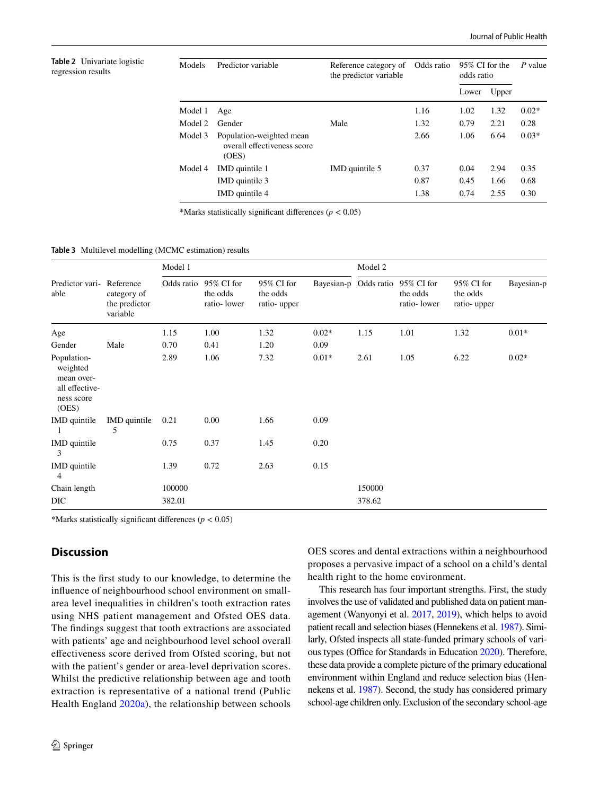<span id="page-5-0"></span>**Table 2** Univariate logistic regression results

| Models  | Predictor variable                                               | Reference category of<br>the predictor variable | Odds ratio | 95% CI for the<br>odds ratio |       | P value |
|---------|------------------------------------------------------------------|-------------------------------------------------|------------|------------------------------|-------|---------|
|         |                                                                  |                                                 |            | Lower                        | Upper |         |
| Model 1 | Age                                                              |                                                 | 1.16       | 1.02                         | 1.32  | $0.02*$ |
| Model 2 | Gender                                                           | Male                                            | 1.32       | 0.79                         | 2.21  | 0.28    |
| Model 3 | Population-weighted mean<br>overall effectiveness score<br>(OES) |                                                 | 2.66       | 1.06                         | 6.64  | $0.03*$ |
| Model 4 | IMD quintile 1                                                   | IMD quintile 5                                  | 0.37       | 0.04                         | 2.94  | 0.35    |
|         | IMD quintile 3                                                   |                                                 | 0.87       | 0.45                         | 1.66  | 0.68    |
|         | IMD quintile 4                                                   |                                                 | 1.38       | 0.74                         | 2.55  | 0.30    |

\*Marks statistically signifcant diferences (*p* < 0.05)

<span id="page-5-1"></span>**Table 3** Multilevel modelling (MCMC estimation) results

| Predictor vari-<br>able                                                        | Reference<br>category of<br>the predictor<br>variable | Model 1    |                                       |                                       | Model 2 |                       |                                       |                                       |            |
|--------------------------------------------------------------------------------|-------------------------------------------------------|------------|---------------------------------------|---------------------------------------|---------|-----------------------|---------------------------------------|---------------------------------------|------------|
|                                                                                |                                                       | Odds ratio | 95% CI for<br>the odds<br>ratio-lower | 95% CI for<br>the odds<br>ratio-upper |         | Bayesian-p Odds ratio | 95% CI for<br>the odds<br>ratio-lower | 95% CI for<br>the odds<br>ratio-upper | Bayesian-p |
| Age                                                                            |                                                       | 1.15       | 1.00                                  | 1.32                                  | $0.02*$ | 1.15                  | 1.01                                  | 1.32                                  | $0.01*$    |
| Gender                                                                         | Male                                                  | 0.70       | 0.41                                  | 1.20                                  | 0.09    |                       |                                       |                                       |            |
| Population-<br>weighted<br>mean over-<br>all effective-<br>ness score<br>(OES) |                                                       | 2.89       | 1.06                                  | 7.32                                  | $0.01*$ | 2.61                  | 1.05                                  | 6.22                                  | $0.02*$    |
| IMD quintile                                                                   | IMD quintile<br>5                                     | 0.21       | 0.00                                  | 1.66                                  | 0.09    |                       |                                       |                                       |            |
| IMD quintile<br>3                                                              |                                                       | 0.75       | 0.37                                  | 1.45                                  | 0.20    |                       |                                       |                                       |            |
| IMD quintile<br>4                                                              |                                                       | 1.39       | 0.72                                  | 2.63                                  | 0.15    |                       |                                       |                                       |            |
| Chain length                                                                   |                                                       | 100000     |                                       |                                       |         | 150000                |                                       |                                       |            |
| <b>DIC</b>                                                                     |                                                       | 382.01     |                                       |                                       |         | 378.62                |                                       |                                       |            |

\*Marks statistically significant differences ( $p < 0.05$ )

# **Discussion**

This is the frst study to our knowledge, to determine the infuence of neighbourhood school environment on smallarea level inequalities in children's tooth extraction rates using NHS patient management and Ofsted OES data. The fndings suggest that tooth extractions are associated with patients' age and neighbourhood level school overall efectiveness score derived from Ofsted scoring, but not with the patient's gender or area-level deprivation scores. Whilst the predictive relationship between age and tooth extraction is representative of a national trend (Public Health England [2020a](#page-8-3)), the relationship between schools OES scores and dental extractions within a neighbourhood proposes a pervasive impact of a school on a child's dental health right to the home environment.

This research has four important strengths. First, the study involves the use of validated and published data on patient management (Wanyonyi et al. [2017](#page-8-12), [2019](#page-8-23)), which helps to avoid patient recall and selection biases (Hennekens et al. [1987\)](#page-7-25). Similarly, Ofsted inspects all state-funded primary schools of vari-ous types (Office for Standards in Education [2020\)](#page-8-24). Therefore, these data provide a complete picture of the primary educational environment within England and reduce selection bias (Hennekens et al. [1987](#page-7-25)). Second, the study has considered primary school-age children only. Exclusion of the secondary school-age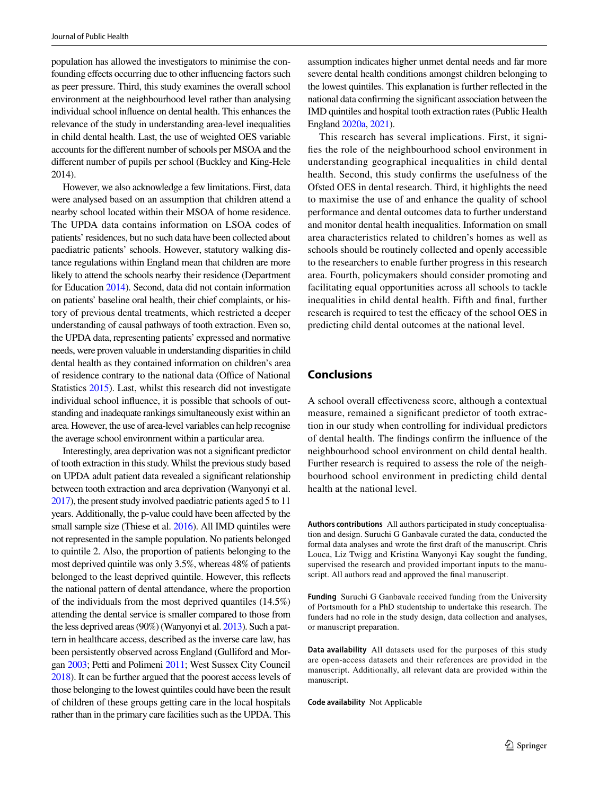population has allowed the investigators to minimise the confounding efects occurring due to other infuencing factors such as peer pressure. Third, this study examines the overall school environment at the neighbourhood level rather than analysing individual school infuence on dental health. This enhances the relevance of the study in understanding area-level inequalities in child dental health. Last, the use of weighted OES variable accounts for the diferent number of schools per MSOA and the diferent number of pupils per school (Buckley and King-Hele 2014).

However, we also acknowledge a few limitations. First, data were analysed based on an assumption that children attend a nearby school located within their MSOA of home residence. The UPDA data contains information on LSOA codes of patients' residences, but no such data have been collected about paediatric patients' schools. However, statutory walking distance regulations within England mean that children are more likely to attend the schools nearby their residence (Department for Education [2014\)](#page-7-10). Second, data did not contain information on patients' baseline oral health, their chief complaints, or history of previous dental treatments, which restricted a deeper understanding of causal pathways of tooth extraction. Even so, the UPDA data, representing patients' expressed and normative needs, were proven valuable in understanding disparities in child dental health as they contained information on children's area of residence contrary to the national data (Office of National Statistics [2015](#page-8-32)). Last, whilst this research did not investigate individual school infuence, it is possible that schools of outstanding and inadequate rankings simultaneously exist within an area. However, the use of area-level variables can help recognise the average school environment within a particular area.

Interestingly, area deprivation was not a signifcant predictor of tooth extraction in this study. Whilst the previous study based on UPDA adult patient data revealed a signifcant relationship between tooth extraction and area deprivation (Wanyonyi et al. [2017\)](#page-8-12), the present study involved paediatric patients aged 5 to 11 years. Additionally, the p-value could have been afected by the small sample size (Thiese et al. [2016\)](#page-8-33). All IMD quintiles were not represented in the sample population. No patients belonged to quintile 2. Also, the proportion of patients belonging to the most deprived quintile was only 3.5%, whereas 48% of patients belonged to the least deprived quintile. However, this refects the national pattern of dental attendance, where the proportion of the individuals from the most deprived quantiles (14.5%) attending the dental service is smaller compared to those from the less deprived areas (90%) (Wanyonyi et al. [2013\)](#page-8-7). Such a pattern in healthcare access, described as the inverse care law, has been persistently observed across England (Gulliford and Morgan [2003;](#page-7-26) Petti and Polimeni [2011;](#page-8-34) West Sussex City Council [2018](#page-8-35)). It can be further argued that the poorest access levels of those belonging to the lowest quintiles could have been the result of children of these groups getting care in the local hospitals rather than in the primary care facilities such as the UPDA. This assumption indicates higher unmet dental needs and far more severe dental health conditions amongst children belonging to the lowest quintiles. This explanation is further refected in the national data confrming the signifcant association between the IMD quintiles and hospital tooth extraction rates (Public Health England [2020a,](#page-8-3) [2021](#page-8-1)).

This research has several implications. First, it signifes the role of the neighbourhood school environment in understanding geographical inequalities in child dental health. Second, this study confrms the usefulness of the Ofsted OES in dental research. Third, it highlights the need to maximise the use of and enhance the quality of school performance and dental outcomes data to further understand and monitor dental health inequalities. Information on small area characteristics related to children's homes as well as schools should be routinely collected and openly accessible to the researchers to enable further progress in this research area. Fourth, policymakers should consider promoting and facilitating equal opportunities across all schools to tackle inequalities in child dental health. Fifth and fnal, further research is required to test the efficacy of the school OES in predicting child dental outcomes at the national level.

# **Conclusions**

A school overall efectiveness score, although a contextual measure, remained a signifcant predictor of tooth extraction in our study when controlling for individual predictors of dental health. The fndings confrm the infuence of the neighbourhood school environment on child dental health. Further research is required to assess the role of the neighbourhood school environment in predicting child dental health at the national level.

**Authors contributions** All authors participated in study conceptualisation and design. Suruchi G Ganbavale curated the data, conducted the formal data analyses and wrote the frst draft of the manuscript. Chris Louca, Liz Twigg and Kristina Wanyonyi Kay sought the funding, supervised the research and provided important inputs to the manuscript. All authors read and approved the fnal manuscript.

**Funding** Suruchi G Ganbavale received funding from the University of Portsmouth for a PhD studentship to undertake this research. The funders had no role in the study design, data collection and analyses, or manuscript preparation.

**Data availability** All datasets used for the purposes of this study are open-access datasets and their references are provided in the manuscript. Additionally, all relevant data are provided within the manuscript.

**Code availability** Not Applicable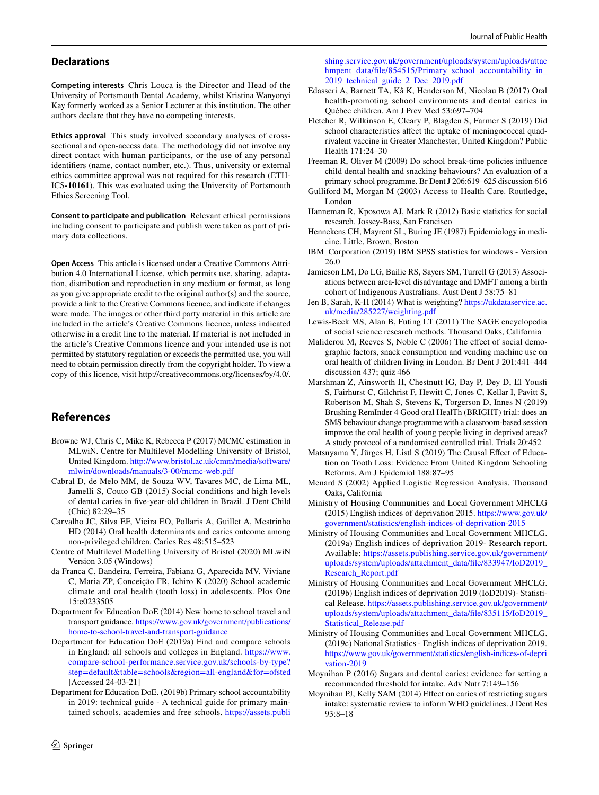#### **Declarations**

**Competing interests** Chris Louca is the Director and Head of the University of Portsmouth Dental Academy, whilst Kristina Wanyonyi Kay formerly worked as a Senior Lecturer at this institution. The other authors declare that they have no competing interests.

**Ethics approval** This study involved secondary analyses of crosssectional and open-access data. The methodology did not involve any direct contact with human participants, or the use of any personal identifers (name, contact number, etc.). Thus, university or external ethics committee approval was not required for this research (ETH-ICS**-10161**). This was evaluated using the University of Portsmouth Ethics Screening Tool.

**Consent to participate and publication** Relevant ethical permissions including consent to participate and publish were taken as part of primary data collections.

**Open Access** This article is licensed under a Creative Commons Attribution 4.0 International License, which permits use, sharing, adaptation, distribution and reproduction in any medium or format, as long as you give appropriate credit to the original author(s) and the source, provide a link to the Creative Commons licence, and indicate if changes were made. The images or other third party material in this article are included in the article's Creative Commons licence, unless indicated otherwise in a credit line to the material. If material is not included in the article's Creative Commons licence and your intended use is not permitted by statutory regulation or exceeds the permitted use, you will need to obtain permission directly from the copyright holder. To view a copy of this licence, visit http://creativecommons.org/licenses/by/4.0/.

# **References**

- <span id="page-7-24"></span>Browne WJ, Chris C, Mike K, Rebecca P (2017) MCMC estimation in MLwiN. Centre for Multilevel Modelling University of Bristol, United Kingdom. [http://www.bristol.ac.uk/cmm/media/software/](http://www.bristol.ac.uk/cmm/media/software/mlwin/downloads/manuals/3-00/mcmc-web.pdf) [mlwin/downloads/manuals/3-00/mcmc-web.pdf](http://www.bristol.ac.uk/cmm/media/software/mlwin/downloads/manuals/3-00/mcmc-web.pdf)
- <span id="page-7-1"></span>Cabral D, de Melo MM, de Souza WV, Tavares MC, de Lima ML, Jamelli S, Couto GB (2015) Social conditions and high levels of dental caries in fve-year-old children in Brazil. J Dent Child (Chic) 82:29–35
- <span id="page-7-8"></span>Carvalho JC, Silva EF, Vieira EO, Pollaris A, Guillet A, Mestrinho HD (2014) Oral health determinants and caries outcome among non-privileged children. Caries Res 48:515–523
- <span id="page-7-23"></span>Centre of Multilevel Modelling University of Bristol (2020) MLwiN Version 3.05 (Windows)
- <span id="page-7-4"></span>da Franca C, Bandeira, Ferreira, Fabiana G, Aparecida MV, Viviane C, Maria ZP, Conceição FR, Ichiro K (2020) School academic climate and oral health (tooth loss) in adolescents. Plos One 15:e0233505
- <span id="page-7-10"></span>Department for Education DoE (2014) New home to school travel and transport guidance. [https://www.gov.uk/government/publications/](https://www.gov.uk/government/publications/home-to-school-travel-and-transport-guidance) [home-to-school-travel-and-transport-guidance](https://www.gov.uk/government/publications/home-to-school-travel-and-transport-guidance)
- <span id="page-7-13"></span>Department for Education DoE (2019a) Find and compare schools in England: all schools and colleges in England. [https://www.](https://www.compare-school-performance.service.gov.uk/schools-by-type?step=default&table=schools®ion=all-england&for=ofsted) [compare-school-performance.service.gov.uk/schools-by-type?](https://www.compare-school-performance.service.gov.uk/schools-by-type?step=default&table=schools®ion=all-england&for=ofsted) [step=default&table=schools&region=all-england&for=ofsted](https://www.compare-school-performance.service.gov.uk/schools-by-type?step=default&table=schools®ion=all-england&for=ofsted) [Accessed 24-03-21]
- <span id="page-7-14"></span>Department for Education DoE. (2019b) Primary school accountability in 2019: technical guide - A technical guide for primary maintained schools, academies and free schools. [https://assets.publi](https://assets.publishing.service.gov.uk/government/uploads/system/uploads/attachmpent_data/file/854515/Primary_school_accountability_in_2019_technical_guide_2_Dec_2019.pdf)

[shing.service.gov.uk/government/uploads/system/uploads/attac](https://assets.publishing.service.gov.uk/government/uploads/system/uploads/attachmpent_data/file/854515/Primary_school_accountability_in_2019_technical_guide_2_Dec_2019.pdf) [hmpent\\_data/fle/854515/Primary\\_school\\_accountability\\_in\\_](https://assets.publishing.service.gov.uk/government/uploads/system/uploads/attachmpent_data/file/854515/Primary_school_accountability_in_2019_technical_guide_2_Dec_2019.pdf) [2019\\_technical\\_guide\\_2\\_Dec\\_2019.pdf](https://assets.publishing.service.gov.uk/government/uploads/system/uploads/attachmpent_data/file/854515/Primary_school_accountability_in_2019_technical_guide_2_Dec_2019.pdf)

- <span id="page-7-11"></span>Edasseri A, Barnett TA, Kâ K, Henderson M, Nicolau B (2017) Oral health-promoting school environments and dental caries in Québec children. Am J Prev Med 53:697–704
- <span id="page-7-12"></span>Fletcher R, Wilkinson E, Cleary P, Blagden S, Farmer S (2019) Did school characteristics affect the uptake of meningococcal quadrivalent vaccine in Greater Manchester, United Kingdom? Public Health 171:24–30
- <span id="page-7-7"></span>Freeman R, Oliver M (2009) Do school break-time policies infuence child dental health and snacking behaviours? An evaluation of a primary school programme. Br Dent J 206:619–625 discussion 616
- <span id="page-7-26"></span>Gulliford M, Morgan M (2003) Access to Health Care. Routledge, London
- <span id="page-7-20"></span>Hanneman R, Kposowa AJ, Mark R (2012) Basic statistics for social research. Jossey-Bass, San Francisco
- <span id="page-7-25"></span>Hennekens CH, Mayrent SL, Buring JE (1987) Epidemiology in medicine. Little, Brown, Boston
- <span id="page-7-17"></span>IBM\_Corporation (2019) IBM SPSS statistics for windows - Version 26.0
- <span id="page-7-0"></span>Jamieson LM, Do LG, Bailie RS, Sayers SM, Turrell G (2013) Associations between area-level disadvantage and DMFT among a birth cohort of Indigenous Australians. Aust Dent J 58:75–81
- Jen B, Sarah, K-H (2014) What is weighting? [https://ukdataservice.ac.](https://ukdataservice.ac.uk/media/285227/weighting.pdf) [uk/media/285227/weighting.pdf](https://ukdataservice.ac.uk/media/285227/weighting.pdf)
- <span id="page-7-22"></span>Lewis-Beck MS, Alan B, Futing LT (2011) The SAGE encyclopedia of social science research methods. Thousand Oaks, California
- <span id="page-7-6"></span>Maliderou M, Reeves S, Noble C (2006) The effect of social demographic factors, snack consumption and vending machine use on oral health of children living in London. Br Dent J 201:441–444 discussion 437; quiz 466
- <span id="page-7-9"></span>Marshman Z, Ainsworth H, Chestnutt IG, Day P, Dey D, El Yousf S, Fairhurst C, Gilchrist F, Hewitt C, Jones C, Kellar I, Pavitt S, Robertson M, Shah S, Stevens K, Torgerson D, Innes N (2019) Brushing RemInder 4 Good oral HealTh (BRIGHT) trial: does an SMS behaviour change programme with a classroom-based session improve the oral health of young people living in deprived areas? A study protocol of a randomised controlled trial. Trials 20:452
- <span id="page-7-5"></span>Matsuyama Y, Jürges H, Listl S (2019) The Causal Effect of Education on Tooth Loss: Evidence From United Kingdom Schooling Reforms. Am J Epidemiol 188:87–95
- <span id="page-7-21"></span>Menard S (2002) Applied Logistic Regression Analysis. Thousand Oaks, California
- <span id="page-7-18"></span>Ministry of Housing Communities and Local Government MHCLG (2015) English indices of deprivation 2015. [https://www.gov.uk/](https://www.gov.uk/government/statistics/english-indices-of-deprivation-2015) [government/statistics/english-indices-of-deprivation-2015](https://www.gov.uk/government/statistics/english-indices-of-deprivation-2015)
- <span id="page-7-19"></span>Ministry of Housing Communities and Local Government MHCLG. (2019a) English indices of deprivation 2019- Research report. Available: [https://assets.publishing.service.gov.uk/government/](https://assets.publishing.service.gov.uk/government/uploads/system/uploads/attachment_data/file/833947/IoD2019_Research_Report.pdf) [uploads/system/uploads/attachment\\_data/fle/833947/IoD2019\\_](https://assets.publishing.service.gov.uk/government/uploads/system/uploads/attachment_data/file/833947/IoD2019_Research_Report.pdf) [Research\\_Report.pdf](https://assets.publishing.service.gov.uk/government/uploads/system/uploads/attachment_data/file/833947/IoD2019_Research_Report.pdf)
- <span id="page-7-15"></span>Ministry of Housing Communities and Local Government MHCLG. (2019b) English indices of deprivation 2019 (IoD2019)- Statistical Release. [https://assets.publishing.service.gov.uk/government/](https://assets.publishing.service.gov.uk/government/uploads/system/uploads/attachment_data/file/835115/IoD2019_Statistical_Release.pdf) [uploads/system/uploads/attachment\\_data/fle/835115/IoD2019\\_](https://assets.publishing.service.gov.uk/government/uploads/system/uploads/attachment_data/file/835115/IoD2019_Statistical_Release.pdf) [Statistical\\_Release.pdf](https://assets.publishing.service.gov.uk/government/uploads/system/uploads/attachment_data/file/835115/IoD2019_Statistical_Release.pdf)
- <span id="page-7-16"></span>Ministry of Housing Communities and Local Government MHCLG. (2019c) National Statistics - English indices of deprivation 2019. [https://www.gov.uk/government/statistics/english-indices-of-depri](https://www.gov.uk/government/statistics/english-indices-of-deprivation-2019) [vation-2019](https://www.gov.uk/government/statistics/english-indices-of-deprivation-2019)
- <span id="page-7-3"></span>Moynihan P (2016) Sugars and dental caries: evidence for setting a recommended threshold for intake. Adv Nutr 7:149–156
- <span id="page-7-2"></span>Moynihan PJ, Kelly SAM (2014) Efect on caries of restricting sugars intake: systematic review to inform WHO guidelines. J Dent Res 93:8–18